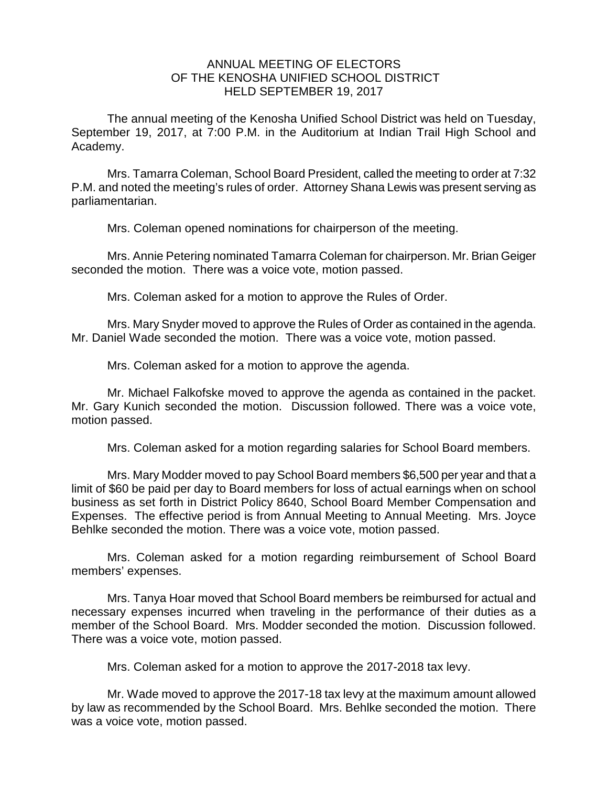## ANNUAL MEETING OF ELECTORS OF THE KENOSHA UNIFIED SCHOOL DISTRICT HELD SEPTEMBER 19, 2017

The annual meeting of the Kenosha Unified School District was held on Tuesday, September 19, 2017, at 7:00 P.M. in the Auditorium at Indian Trail High School and Academy.

Mrs. Tamarra Coleman, School Board President, called the meeting to order at 7:32 P.M. and noted the meeting's rules of order. Attorney Shana Lewis was present serving as parliamentarian.

Mrs. Coleman opened nominations for chairperson of the meeting.

Mrs. Annie Petering nominated Tamarra Coleman for chairperson. Mr. Brian Geiger seconded the motion. There was a voice vote, motion passed.

Mrs. Coleman asked for a motion to approve the Rules of Order.

Mrs. Mary Snyder moved to approve the Rules of Order as contained in the agenda. Mr. Daniel Wade seconded the motion. There was a voice vote, motion passed.

Mrs. Coleman asked for a motion to approve the agenda.

Mr. Michael Falkofske moved to approve the agenda as contained in the packet. Mr. Gary Kunich seconded the motion. Discussion followed. There was a voice vote, motion passed.

Mrs. Coleman asked for a motion regarding salaries for School Board members.

Mrs. Mary Modder moved to pay School Board members \$6,500 per year and that a limit of \$60 be paid per day to Board members for loss of actual earnings when on school business as set forth in District Policy 8640, School Board Member Compensation and Expenses. The effective period is from Annual Meeting to Annual Meeting. Mrs. Joyce Behlke seconded the motion. There was a voice vote, motion passed.

Mrs. Coleman asked for a motion regarding reimbursement of School Board members' expenses.

Mrs. Tanya Hoar moved that School Board members be reimbursed for actual and necessary expenses incurred when traveling in the performance of their duties as a member of the School Board. Mrs. Modder seconded the motion. Discussion followed. There was a voice vote, motion passed.

Mrs. Coleman asked for a motion to approve the 2017-2018 tax levy.

Mr. Wade moved to approve the 2017-18 tax levy at the maximum amount allowed by law as recommended by the School Board. Mrs. Behlke seconded the motion. There was a voice vote, motion passed.